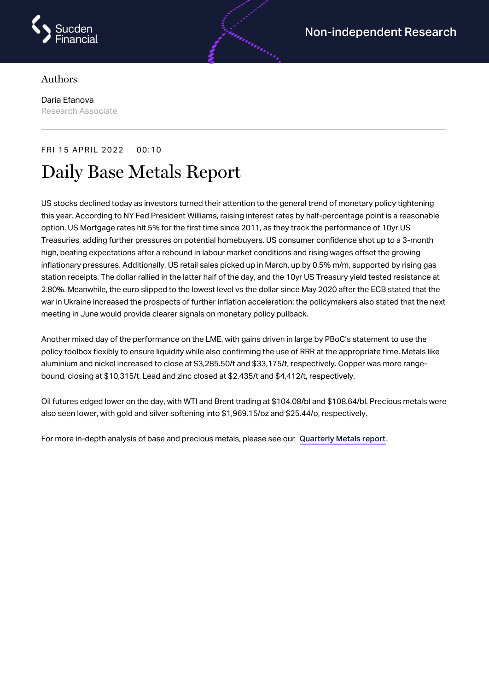

## Authors

Daria Efanova Research Associate

## FRI 15 APRIL 2022 00:10 Daily Base Metals Report

US stocks declined today as investors turned their attention to the general trend of monetary policy tightening this year. According to NY Fed President Williams, raising interest rates by half-percentage point is a reasonable option. US Mortgage rates hit 5% for the first time since 2011, as they track the performance of 10yr US Treasuries, adding further pressures on potential homebuyers. US consumer confidence shot up to a 3-month high, beating expectations after a rebound in labour market conditions and rising wages offset the growing inflationary pressures. Additionally, US retail sales picked up in March, up by 0.5% m/m, supported by rising gas station receipts. The dollar rallied in the latter half of the day, and the 10yr US Treasury yield tested resistance at 2.80%. Meanwhile, the euro slipped to the lowest level vs the dollar since May 2020 after the ECB stated that the war in Ukraine increased the prospects of further inflation acceleration; the policymakers also stated that the next meeting in June would provide clearer signals on monetary policy pullback.

andronistic

Another mixed day of the performance on the LME, with gains driven in large by PBoC's statement to use the policy toolbox flexibly to ensure liquidity while also confirming the use of RRR at the appropriate time. Metals like aluminium and nickel increased to close at \$3,285.50/t and \$33,175/t, respectively. Copper was more rangebound, closing at \$10,315/t. Lead and zinc closed at \$2,435/t and \$4,412/t, respectively.

Oil futures edged lower on the day, with WTI and Brent trading at \$104.08/bl and \$108.64/bl. Precious metals were also seen lower, with gold and silver softening into \$1,969.15/oz and \$25.44/o, respectively.

For more in-depth analysis of base and precious metals, please see our [Quarterly](https://www.sucdenfinancial.com/en/reports/quarterly-metals/qmr-q1-2022/) Metals report.